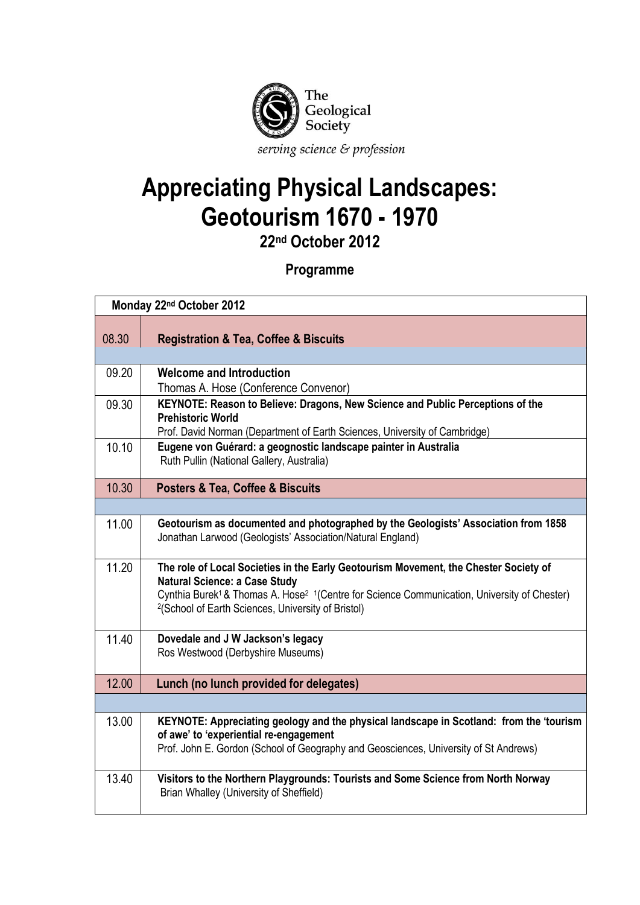

## **Appreciating Physical Landscapes: Geotourism 1670 - 1970**

**22nd October 2012**

## **Programme**

| Monday 22 <sup>nd</sup> October 2012 |                                                                                                                                                                                                   |  |
|--------------------------------------|---------------------------------------------------------------------------------------------------------------------------------------------------------------------------------------------------|--|
|                                      |                                                                                                                                                                                                   |  |
| 08.30                                | <b>Registration &amp; Tea, Coffee &amp; Biscuits</b>                                                                                                                                              |  |
| 09.20                                | <b>Welcome and Introduction</b>                                                                                                                                                                   |  |
|                                      | Thomas A. Hose (Conference Convenor)                                                                                                                                                              |  |
| 09.30                                | KEYNOTE: Reason to Believe: Dragons, New Science and Public Perceptions of the<br><b>Prehistoric World</b>                                                                                        |  |
|                                      | Prof. David Norman (Department of Earth Sciences, University of Cambridge)                                                                                                                        |  |
| 10.10                                | Eugene von Guérard: a geognostic landscape painter in Australia<br>Ruth Pullin (National Gallery, Australia)                                                                                      |  |
| 10.30                                | <b>Posters &amp; Tea, Coffee &amp; Biscuits</b>                                                                                                                                                   |  |
|                                      |                                                                                                                                                                                                   |  |
| 11.00                                | Geotourism as documented and photographed by the Geologists' Association from 1858<br>Jonathan Larwood (Geologists' Association/Natural England)                                                  |  |
| 11.20                                | The role of Local Societies in the Early Geotourism Movement, the Chester Society of<br><b>Natural Science: a Case Study</b>                                                                      |  |
|                                      | Cynthia Burek <sup>1</sup> & Thomas A. Hose <sup>2</sup> <sup>1</sup> (Centre for Science Communication, University of Chester)<br><sup>2</sup> (School of Earth Sciences, University of Bristol) |  |
| 11.40                                | Dovedale and J W Jackson's legacy                                                                                                                                                                 |  |
|                                      | Ros Westwood (Derbyshire Museums)                                                                                                                                                                 |  |
| 12.00                                | Lunch (no lunch provided for delegates)                                                                                                                                                           |  |
|                                      |                                                                                                                                                                                                   |  |
| 13.00                                | KEYNOTE: Appreciating geology and the physical landscape in Scotland: from the 'tourism<br>of awe' to 'experiential re-engagement                                                                 |  |
|                                      | Prof. John E. Gordon (School of Geography and Geosciences, University of St Andrews)                                                                                                              |  |
| 13.40                                | Visitors to the Northern Playgrounds: Tourists and Some Science from North Norway<br>Brian Whalley (University of Sheffield)                                                                      |  |